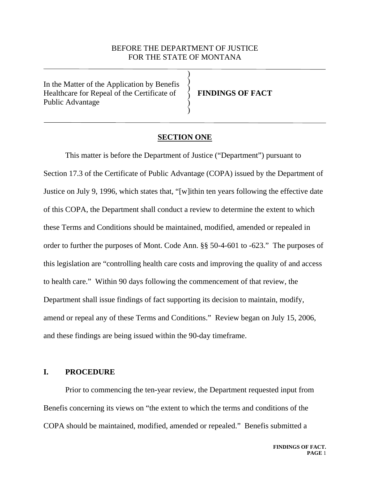# BEFORE THE DEPARTMENT OF JUSTICE FOR THE STATE OF MONTANA

) ) ) )  $\big)$ )

In the Matter of the Application by Benefis Healthcare for Repeal of the Certificate of Public Advantage

**FINDINGS OF FACT**

# **SECTION ONE**

This matter is before the Department of Justice ("Department") pursuant to Section 17.3 of the Certificate of Public Advantage (COPA) issued by the Department of Justice on July 9, 1996, which states that, "[w]ithin ten years following the effective date of this COPA, the Department shall conduct a review to determine the extent to which these Terms and Conditions should be maintained, modified, amended or repealed in order to further the purposes of Mont. Code Ann. §§ 50-4-601 to -623." The purposes of this legislation are "controlling health care costs and improving the quality of and access to health care." Within 90 days following the commencement of that review, the Department shall issue findings of fact supporting its decision to maintain, modify, amend or repeal any of these Terms and Conditions." Review began on July 15, 2006, and these findings are being issued within the 90-day timeframe.

### **I. PROCEDURE**

Prior to commencing the ten-year review, the Department requested input from Benefis concerning its views on "the extent to which the terms and conditions of the COPA should be maintained, modified, amended or repealed." Benefis submitted a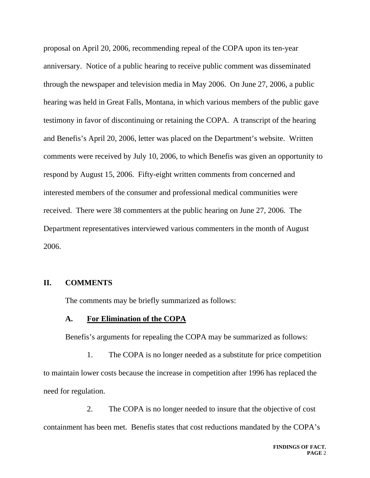proposal on April 20, 2006, recommending repeal of the COPA upon its ten-year anniversary. Notice of a public hearing to receive public comment was disseminated through the newspaper and television media in May 2006. On June 27, 2006, a public hearing was held in Great Falls, Montana, in which various members of the public gave testimony in favor of discontinuing or retaining the COPA. A transcript of the hearing and Benefis's April 20, 2006, letter was placed on the Department's website. Written comments were received by July 10, 2006, to which Benefis was given an opportunity to respond by August 15, 2006. Fifty-eight written comments from concerned and interested members of the consumer and professional medical communities were received. There were 38 commenters at the public hearing on June 27, 2006. The Department representatives interviewed various commenters in the month of August 2006.

## **II. COMMENTS**

The comments may be briefly summarized as follows:

### **A. For Elimination of the COPA**

Benefis's arguments for repealing the COPA may be summarized as follows:

1. The COPA is no longer needed as a substitute for price competition to maintain lower costs because the increase in competition after 1996 has replaced the need for regulation.

2. The COPA is no longer needed to insure that the objective of cost containment has been met. Benefis states that cost reductions mandated by the COPA's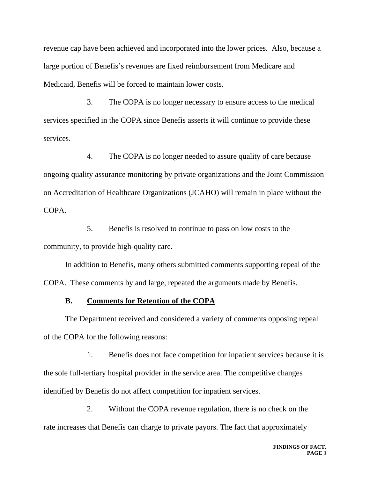revenue cap have been achieved and incorporated into the lower prices. Also, because a large portion of Benefis's revenues are fixed reimbursement from Medicare and Medicaid, Benefis will be forced to maintain lower costs.

3. The COPA is no longer necessary to ensure access to the medical services specified in the COPA since Benefis asserts it will continue to provide these services.

4. The COPA is no longer needed to assure quality of care because ongoing quality assurance monitoring by private organizations and the Joint Commission on Accreditation of Healthcare Organizations (JCAHO) will remain in place without the COPA.

5. Benefis is resolved to continue to pass on low costs to the community, to provide high-quality care.

In addition to Benefis, many others submitted comments supporting repeal of the COPA. These comments by and large, repeated the arguments made by Benefis.

# **B. Comments for Retention of the COPA**

The Department received and considered a variety of comments opposing repeal of the COPA for the following reasons:

1. Benefis does not face competition for inpatient services because it is the sole full-tertiary hospital provider in the service area. The competitive changes identified by Benefis do not affect competition for inpatient services.

2. Without the COPA revenue regulation, there is no check on the rate increases that Benefis can charge to private payors. The fact that approximately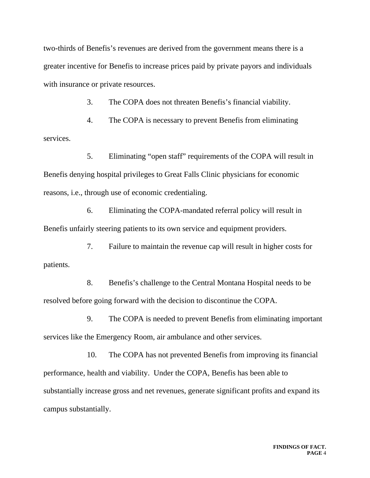two-thirds of Benefis's revenues are derived from the government means there is a greater incentive for Benefis to increase prices paid by private payors and individuals with insurance or private resources.

3. The COPA does not threaten Benefis's financial viability.

4. The COPA is necessary to prevent Benefis from eliminating services.

5. Eliminating "open staff" requirements of the COPA will result in Benefis denying hospital privileges to Great Falls Clinic physicians for economic reasons, i.e., through use of economic credentialing.

6. Eliminating the COPA-mandated referral policy will result in Benefis unfairly steering patients to its own service and equipment providers.

7. Failure to maintain the revenue cap will result in higher costs for patients.

8. Benefis's challenge to the Central Montana Hospital needs to be resolved before going forward with the decision to discontinue the COPA.

9. The COPA is needed to prevent Benefis from eliminating important services like the Emergency Room, air ambulance and other services.

10. The COPA has not prevented Benefis from improving its financial performance, health and viability. Under the COPA, Benefis has been able to substantially increase gross and net revenues, generate significant profits and expand its campus substantially.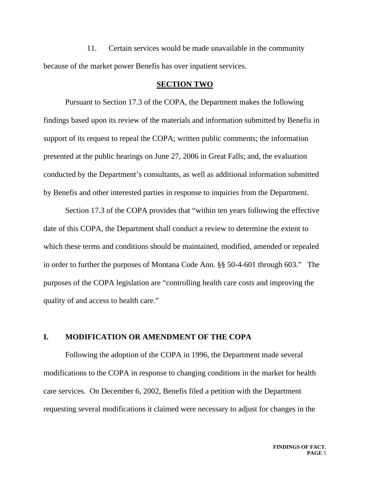11. Certain services would be made unavailable in the community because of the market power Benefis has over inpatient services.

#### **SECTION TWO**

Pursuant to Section 17.3 of the COPA, the Department makes the following findings based upon its review of the materials and information submitted by Benefis in support of its request to repeal the COPA; written public comments; the information presented at the public hearings on June 27, 2006 in Great Falls; and, the evaluation conducted by the Department's consultants, as well as additional information submitted by Benefis and other interested parties in response to inquiries from the Department.

Section 17.3 of the COPA provides that "within ten years following the effective date of this COPA, the Department shall conduct a review to determine the extent to which these terms and conditions should be maintained, modified, amended or repealed in order to further the purposes of Montana Code Ann. §§ 50-4-601 through 603." The purposes of the COPA legislation are "controlling health care costs and improving the quality of and access to health care."

# **I. MODIFICATION OR AMENDMENT OF THE COPA**

Following the adoption of the COPA in 1996, the Department made several modifications to the COPA in response to changing conditions in the market for health care services. On December 6, 2002, Benefis filed a petition with the Department requesting several modifications it claimed were necessary to adjust for changes in the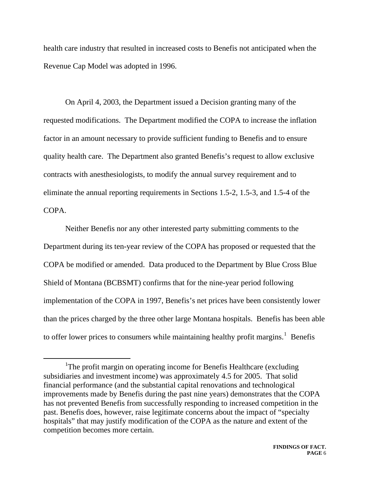health care industry that resulted in increased costs to Benefis not anticipated when the Revenue Cap Model was adopted in 1996.

On April 4, 2003, the Department issued a Decision granting many of the requested modifications. The Department modified the COPA to increase the inflation factor in an amount necessary to provide sufficient funding to Benefis and to ensure quality health care. The Department also granted Benefis's request to allow exclusive contracts with anesthesiologists, to modify the annual survey requirement and to eliminate the annual reporting requirements in Sections 1.5-2, 1.5-3, and 1.5-4 of the COPA.

Neither Benefis nor any other interested party submitting comments to the Department during its ten-year review of the COPA has proposed or requested that the COPA be modified or amended. Data produced to the Department by Blue Cross Blue Shield of Montana (BCBSMT) confirms that for the nine-year period following implementation of the COPA in 1997, Benefis's net prices have been consistently lower than the prices charged by the three other large Montana hospitals. Benefis has been able to offer lower prices to consumers while maintaining healthy profit margins. $<sup>1</sup>$  $<sup>1</sup>$  $<sup>1</sup>$  Benefis</sup>

<span id="page-5-0"></span> $\overline{\phantom{a}}$ <sup>1</sup>The profit margin on operating income for Benefis Healthcare (excluding subsidiaries and investment income) was approximately 4.5 for 2005. That solid financial performance (and the substantial capital renovations and technological improvements made by Benefis during the past nine years) demonstrates that the COPA has not prevented Benefis from successfully responding to increased competition in the past. Benefis does, however, raise legitimate concerns about the impact of "specialty hospitals" that may justify modification of the COPA as the nature and extent of the competition becomes more certain.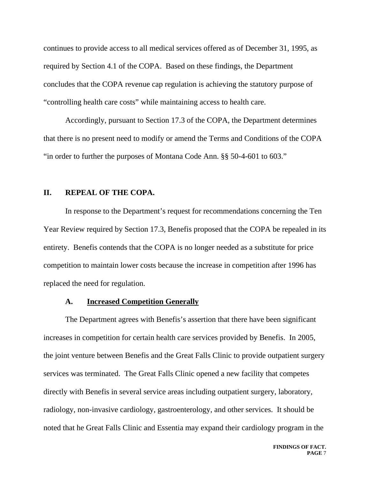continues to provide access to all medical services offered as of December 31, 1995, as required by Section 4.1 of the COPA. Based on these findings, the Department concludes that the COPA revenue cap regulation is achieving the statutory purpose of "controlling health care costs" while maintaining access to health care.

Accordingly, pursuant to Section 17.3 of the COPA, the Department determines that there is no present need to modify or amend the Terms and Conditions of the COPA "in order to further the purposes of Montana Code Ann. §§ 50-4-601 to 603."

### **II. REPEAL OF THE COPA.**

In response to the Department's request for recommendations concerning the Ten Year Review required by Section 17.3, Benefis proposed that the COPA be repealed in its entirety. Benefis contends that the COPA is no longer needed as a substitute for price competition to maintain lower costs because the increase in competition after 1996 has replaced the need for regulation.

#### **A. Increased Competition Generally**

The Department agrees with Benefis's assertion that there have been significant increases in competition for certain health care services provided by Benefis. In 2005, the joint venture between Benefis and the Great Falls Clinic to provide outpatient surgery services was terminated. The Great Falls Clinic opened a new facility that competes directly with Benefis in several service areas including outpatient surgery, laboratory, radiology, non-invasive cardiology, gastroenterology, and other services. It should be noted that he Great Falls Clinic and Essentia may expand their cardiology program in the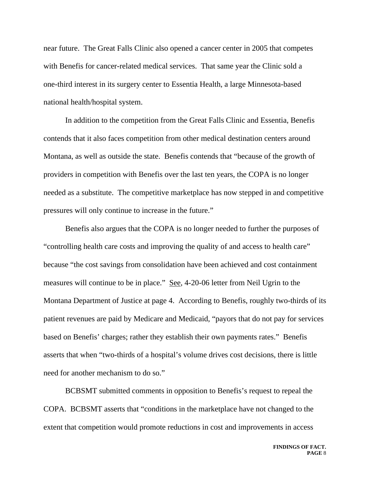near future. The Great Falls Clinic also opened a cancer center in 2005 that competes with Benefis for cancer-related medical services. That same year the Clinic sold a one-third interest in its surgery center to Essentia Health, a large Minnesota-based national health/hospital system.

In addition to the competition from the Great Falls Clinic and Essentia, Benefis contends that it also faces competition from other medical destination centers around Montana, as well as outside the state. Benefis contends that "because of the growth of providers in competition with Benefis over the last ten years, the COPA is no longer needed as a substitute. The competitive marketplace has now stepped in and competitive pressures will only continue to increase in the future."

Benefis also argues that the COPA is no longer needed to further the purposes of "controlling health care costs and improving the quality of and access to health care" because "the cost savings from consolidation have been achieved and cost containment measures will continue to be in place." See, 4-20-06 letter from Neil Ugrin to the Montana Department of Justice at page 4. According to Benefis, roughly two-thirds of its patient revenues are paid by Medicare and Medicaid, "payors that do not pay for services based on Benefis' charges; rather they establish their own payments rates." Benefis asserts that when "two-thirds of a hospital's volume drives cost decisions, there is little need for another mechanism to do so."

BCBSMT submitted comments in opposition to Benefis's request to repeal the COPA. BCBSMT asserts that "conditions in the marketplace have not changed to the extent that competition would promote reductions in cost and improvements in access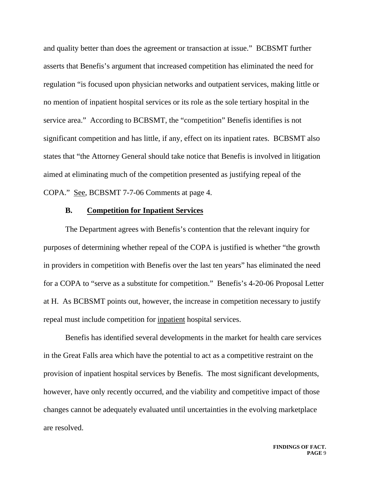and quality better than does the agreement or transaction at issue." BCBSMT further asserts that Benefis's argument that increased competition has eliminated the need for regulation "is focused upon physician networks and outpatient services, making little or no mention of inpatient hospital services or its role as the sole tertiary hospital in the service area." According to BCBSMT, the "competition" Benefis identifies is not significant competition and has little, if any, effect on its inpatient rates. BCBSMT also states that "the Attorney General should take notice that Benefis is involved in litigation aimed at eliminating much of the competition presented as justifying repeal of the COPA." See, BCBSMT 7-7-06 Comments at page 4.

# **B. Competition for Inpatient Services**

The Department agrees with Benefis's contention that the relevant inquiry for purposes of determining whether repeal of the COPA is justified is whether "the growth in providers in competition with Benefis over the last ten years" has eliminated the need for a COPA to "serve as a substitute for competition." Benefis's 4-20-06 Proposal Letter at H. As BCBSMT points out, however, the increase in competition necessary to justify repeal must include competition for inpatient hospital services.

Benefis has identified several developments in the market for health care services in the Great Falls area which have the potential to act as a competitive restraint on the provision of inpatient hospital services by Benefis. The most significant developments, however, have only recently occurred, and the viability and competitive impact of those changes cannot be adequately evaluated until uncertainties in the evolving marketplace are resolved.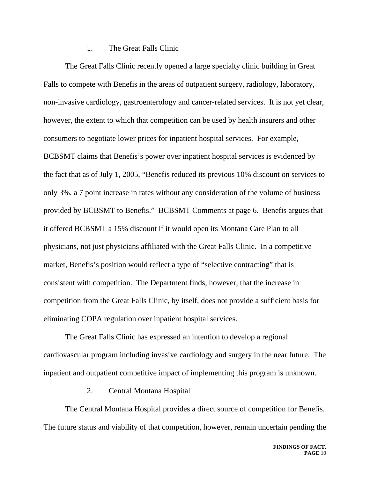## 1. The Great Falls Clinic

The Great Falls Clinic recently opened a large specialty clinic building in Great Falls to compete with Benefis in the areas of outpatient surgery, radiology, laboratory, non-invasive cardiology, gastroenterology and cancer-related services. It is not yet clear, however, the extent to which that competition can be used by health insurers and other consumers to negotiate lower prices for inpatient hospital services. For example, BCBSMT claims that Benefis's power over inpatient hospital services is evidenced by the fact that as of July 1, 2005, "Benefis reduced its previous 10% discount on services to only 3%, a 7 point increase in rates without any consideration of the volume of business provided by BCBSMT to Benefis." BCBSMT Comments at page 6. Benefis argues that it offered BCBSMT a 15% discount if it would open its Montana Care Plan to all physicians, not just physicians affiliated with the Great Falls Clinic. In a competitive market, Benefis's position would reflect a type of "selective contracting" that is consistent with competition. The Department finds, however, that the increase in competition from the Great Falls Clinic, by itself, does not provide a sufficient basis for eliminating COPA regulation over inpatient hospital services.

The Great Falls Clinic has expressed an intention to develop a regional cardiovascular program including invasive cardiology and surgery in the near future. The inpatient and outpatient competitive impact of implementing this program is unknown.

## 2. Central Montana Hospital

The Central Montana Hospital provides a direct source of competition for Benefis. The future status and viability of that competition, however, remain uncertain pending the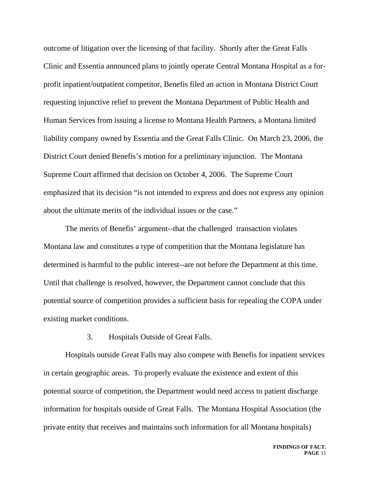outcome of litigation over the licensing of that facility. Shortly after the Great Falls Clinic and Essentia announced plans to jointly operate Central Montana Hospital as a forprofit inpatient/outpatient competitor, Benefis filed an action in Montana District Court requesting injunctive relief to prevent the Montana Department of Public Health and Human Services from issuing a license to Montana Health Partners, a Montana limited liability company owned by Essentia and the Great Falls Clinic. On March 23, 2006, the District Court denied Benefis's motion for a preliminary injunction. The Montana Supreme Court affirmed that decision on October 4, 2006. The Supreme Court emphasized that its decision "is not intended to express and does not express any opinion about the ultimate merits of the individual issues or the case."

The merits of Benefis' argument--that the challenged transaction violates Montana law and constitutes a type of competition that the Montana legislature has determined is harmful to the public interest--are not before the Department at this time. Until that challenge is resolved, however, the Department cannot conclude that this potential source of competition provides a sufficient basis for repealing the COPA under existing market conditions.

3. Hospitals Outside of Great Falls.

Hospitals outside Great Falls may also compete with Benefis for inpatient services in certain geographic areas. To properly evaluate the existence and extent of this potential source of competition, the Department would need access to patient discharge information for hospitals outside of Great Falls. The Montana Hospital Association (the private entity that receives and maintains such information for all Montana hospitals)